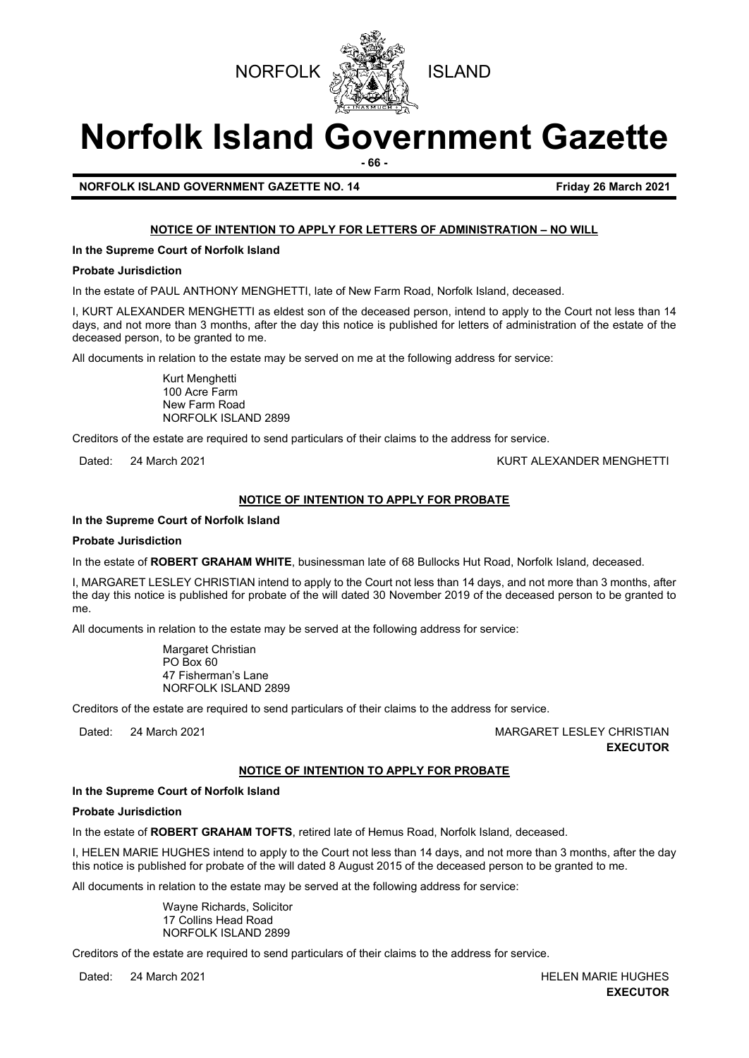



# **Norfolk Island Government Gazette**

**- 66 -**

**NORFOLK ISLAND GOVERNMENT GAZETTE NO. 14 Friday 26 March 2021** 

#### **NOTICE OF INTENTION TO APPLY FOR LETTERS OF ADMINISTRATION – NO WILL**

**In the Supreme Court of Norfolk Island**

#### **Probate Jurisdiction**

In the estate of PAUL ANTHONY MENGHETTI, late of New Farm Road, Norfolk Island, deceased.

I, KURT ALEXANDER MENGHETTI as eldest son of the deceased person, intend to apply to the Court not less than 14 days, and not more than 3 months, after the day this notice is published for letters of administration of the estate of the deceased person, to be granted to me.

All documents in relation to the estate may be served on me at the following address for service:

Kurt Menghetti 100 Acre Farm New Farm Road NORFOLK ISLAND 2899

Creditors of the estate are required to send particulars of their claims to the address for service.

Dated: 24 March 2021 **KURT ALEXANDER MENGHETTI** 

#### **NOTICE OF INTENTION TO APPLY FOR PROBATE**

#### **In the Supreme Court of Norfolk Island**

#### **Probate Jurisdiction**

In the estate of **ROBERT GRAHAM WHITE**, businessman late of 68 Bullocks Hut Road, Norfolk Island*,* deceased.

I, MARGARET LESLEY CHRISTIAN intend to apply to the Court not less than 14 days, and not more than 3 months, after the day this notice is published for probate of the will dated 30 November 2019 of the deceased person to be granted to me.

All documents in relation to the estate may be served at the following address for service:

Margaret Christian PO Box 60 47 Fisherman's Lane NORFOLK ISLAND 2899

Creditors of the estate are required to send particulars of their claims to the address for service.

Dated: 24 March 2021 MARGARET LESLEY CHRISTIAN **EXECUTOR**

#### **NOTICE OF INTENTION TO APPLY FOR PROBATE**

#### **In the Supreme Court of Norfolk Island**

#### **Probate Jurisdiction**

In the estate of **ROBERT GRAHAM TOFTS**, retired late of Hemus Road, Norfolk Island*,* deceased.

I, HELEN MARIE HUGHES intend to apply to the Court not less than 14 days, and not more than 3 months, after the day this notice is published for probate of the will dated 8 August 2015 of the deceased person to be granted to me.

All documents in relation to the estate may be served at the following address for service:

Wayne Richards, Solicitor 17 Collins Head Road NORFOLK ISLAND 2899

Creditors of the estate are required to send particulars of their claims to the address for service.

Dated: 24 March 2021 **HELEN MARIE HUGHES EXECUTOR**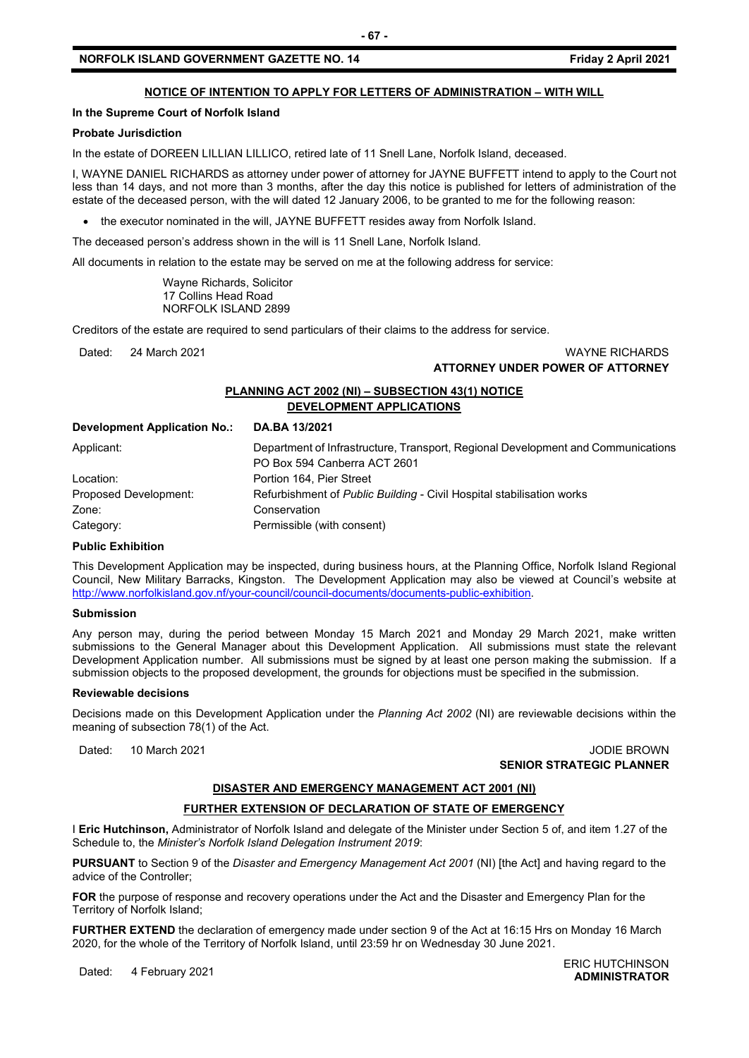#### **NORFOLK ISLAND GOVERNMENT GAZETTE NO. 14 Friday 2 April 2021**

#### **NOTICE OF INTENTION TO APPLY FOR LETTERS OF ADMINISTRATION – WITH WILL**

#### **In the Supreme Court of Norfolk Island**

#### **Probate Jurisdiction**

In the estate of DOREEN LILLIAN LILLICO, retired late of 11 Snell Lane, Norfolk Island, deceased.

I, WAYNE DANIEL RICHARDS as attorney under power of attorney for JAYNE BUFFETT intend to apply to the Court not less than 14 days, and not more than 3 months, after the day this notice is published for letters of administration of the estate of the deceased person, with the will dated 12 January 2006, to be granted to me for the following reason:

• the executor nominated in the will, JAYNE BUFFETT resides away from Norfolk Island.

The deceased person's address shown in the will is 11 Snell Lane, Norfolk Island*.*

All documents in relation to the estate may be served on me at the following address for service:

Wayne Richards, Solicitor 17 Collins Head Road NORFOLK ISLAND 2899

Creditors of the estate are required to send particulars of their claims to the address for service.

#### Dated: 24 March 2021 WAYNE RICHARDS **ATTORNEY UNDER POWER OF ATTORNEY**

#### **PLANNING ACT 2002 (NI) – SUBSECTION 43(1) NOTICE DEVELOPMENT APPLICATIONS**

#### **Development Application No.: DA.BA 13/2021**

| Applicant:            | Department of Infrastructure, Transport, Regional Development and Communications<br>PO Box 594 Canberra ACT 2601 |
|-----------------------|------------------------------------------------------------------------------------------------------------------|
| Location:             | Portion 164. Pier Street                                                                                         |
| Proposed Development: | Refurbishment of <i>Public Building -</i> Civil Hospital stabilisation works                                     |
| Zone:                 | Conservation                                                                                                     |
| Category:             | Permissible (with consent)                                                                                       |

#### **Public Exhibition**

This Development Application may be inspected, during business hours, at the Planning Office, Norfolk Island Regional Council, New Military Barracks, Kingston. The Development Application may also be viewed at Council's website at [http://www.norfolkisland.gov.nf/your-council/council-documents/documents-public-exhibition.](http://www.norfolkisland.gov.nf/your-council/council-documents/documents-public-exhibition)

#### **Submission**

Any person may, during the period between Monday 15 March 2021 and Monday 29 March 2021, make written submissions to the General Manager about this Development Application. All submissions must state the relevant Development Application number. All submissions must be signed by at least one person making the submission. If a submission objects to the proposed development, the grounds for objections must be specified in the submission.

#### **Reviewable decisions**

Decisions made on this Development Application under the *Planning Act 2002* (NI) are reviewable decisions within the meaning of subsection 78(1) of the Act.

Dated: 10 March 2021 JODIE BROWN **SENIOR STRATEGIC PLANNER** 

#### **DISASTER AND EMERGENCY MANAGEMENT ACT 2001 (NI)**

#### **FURTHER EXTENSION OF DECLARATION OF STATE OF EMERGENCY**

I **Eric Hutchinson,** Administrator of Norfolk Island and delegate of the Minister under Section 5 of, and item 1.27 of the Schedule to, the *Minister's Norfolk Island Delegation Instrument 2019*:

**PURSUANT** to Section 9 of the *Disaster and Emergency Management Act 2001* (NI) [the Act] and having regard to the advice of the Controller;

**FOR** the purpose of response and recovery operations under the Act and the Disaster and Emergency Plan for the Territory of Norfolk Island;

**FURTHER EXTEND** the declaration of emergency made under section 9 of the Act at 16:15 Hrs on Monday 16 March 2020, for the whole of the Territory of Norfolk Island, until 23:59 hr on Wednesday 30 June 2021.

Dated: 4 February 2021<br>Dated: 4 February 2021 **ADMINISTRATOR**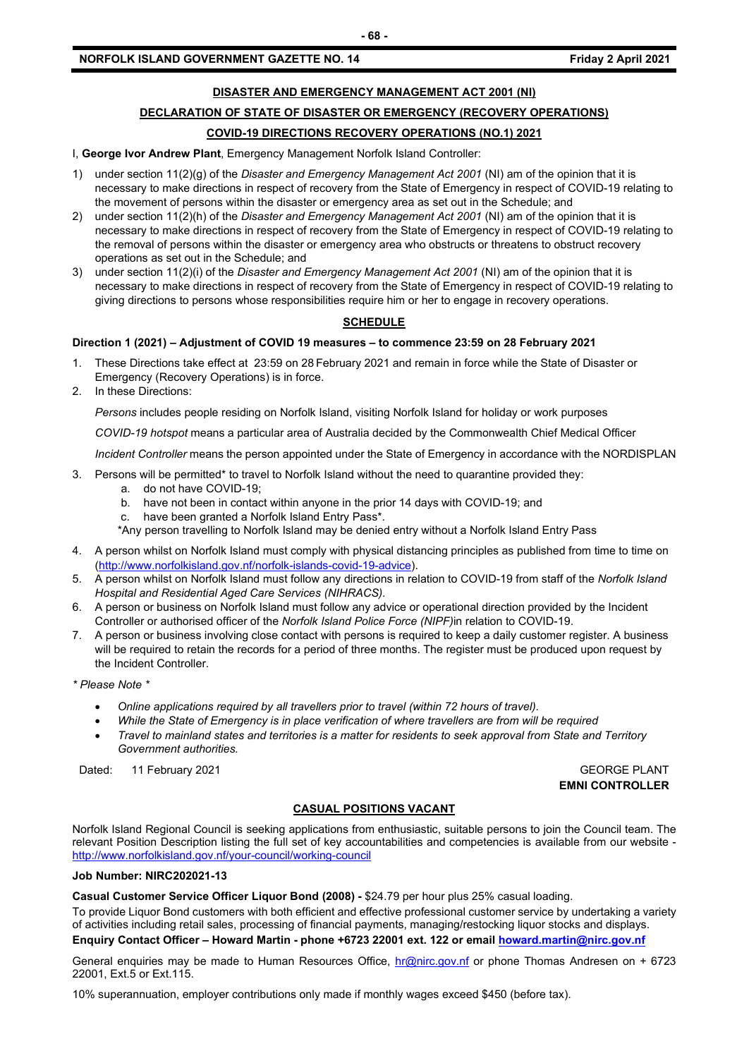#### **DISASTER AND EMERGENCY MANAGEMENT ACT 2001 (NI)**

### **DECLARATION OF STATE OF DISASTER OR EMERGENCY (RECOVERY OPERATIONS)**

### **COVID-19 DIRECTIONS RECOVERY OPERATIONS (NO.1) 2021**

I, **George Ivor Andrew Plant**, Emergency Management Norfolk Island Controller:

- 1) under section 11(2)(g) of the *Disaster and Emergency Management Act 2001* (NI) am of the opinion that it is necessary to make directions in respect of recovery from the State of Emergency in respect of COVID-19 relating to the movement of persons within the disaster or emergency area as set out in the Schedule; and
- 2) under section 11(2)(h) of the *Disaster and Emergency Management Act 2001* (NI) am of the opinion that it is necessary to make directions in respect of recovery from the State of Emergency in respect of COVID-19 relating to the removal of persons within the disaster or emergency area who obstructs or threatens to obstruct recovery operations as set out in the Schedule; and
- 3) under section 11(2)(i) of the *Disaster and Emergency Management Act 2001* (NI) am of the opinion that it is necessary to make directions in respect of recovery from the State of Emergency in respect of COVID-19 relating to giving directions to persons whose responsibilities require him or her to engage in recovery operations.

#### **SCHEDULE**

#### **Direction 1 (2021) – Adjustment of COVID 19 measures – to commence 23:59 on 28 February 2021**

- 1. These Directions take effect at 23:59 on 28 February 2021 and remain in force while the State of Disaster or Emergency (Recovery Operations) is in force.
- 2. In these Directions:

*Persons* includes people residing on Norfolk Island, visiting Norfolk Island for holiday or work purposes

*COVID-19 hotspot* means a particular area of Australia decided by the Commonwealth Chief Medical Officer

*Incident Controller* means the person appointed under the State of Emergency in accordance with the NORDISPLAN

- 3. Persons will be permitted\* to travel to Norfolk Island without the need to quarantine provided they:
	- a. do not have COVID-19;
	- b. have not been in contact within anyone in the prior 14 days with COVID-19; and
	- c. have been granted a Norfolk Island Entry Pass\*.
	- \*Any person travelling to Norfolk Island may be denied entry without a Norfolk Island Entry Pass
- 4. A person whilst on Norfolk Island must comply with physical distancing principles as published from time to time on [\(http://www.norfolkisland.gov.nf/norfolk-islands-covid-19-advice\)](http://www.norfolkisland.gov.nf/norfolk-islands-covid-19-advice).
- 5. A person whilst on Norfolk Island must follow any directions in relation to COVID-19 from staff of the *Norfolk Island Hospital and Residential Aged Care Services (NIHRACS).*
- 6. A person or business on Norfolk Island must follow any advice or operational direction provided by the Incident Controller or authorised officer of the *Norfolk Island Police Force (NIPF)*in relation to COVID-19.
- 7. A person or business involving close contact with persons is required to keep a daily customer register. A business will be required to retain the records for a period of three months. The register must be produced upon request by the Incident Controller.
- *\* Please Note \** 
	- *Online applications required by all travellers prior to travel (within 72 hours of travel).*
	- *While the State of Emergency is in place verification of where travellers are from will be required*
	- *Travel to mainland states and territories is a matter for residents to seek approval from State and Territory Government authorities.*

Dated: 11 February 2021 **GEORGE PLANT** 

**EMNI CONTROLLER**

#### **CASUAL POSITIONS VACANT**

Norfolk Island Regional Council is seeking applications from enthusiastic, suitable persons to join the Council team. The relevant Position Description listing the full set of key accountabilities and competencies is available from our website <http://www.norfolkisland.gov.nf/your-council/working-council>

#### **Job Number: NIRC202021-13**

**Casual Customer Service Officer Liquor Bond (2008) -** \$24.79 per hour plus 25% casual loading.

To provide Liquor Bond customers with both efficient and effective professional customer service by undertaking a variety of activities including retail sales, processing of financial payments, managing/restocking liquor stocks and displays. **Enquiry Contact Officer – Howard Martin - phone +6723 22001 ext. 122 or emai[l howard.martin@nirc.gov.nf](mailto:howard.martin@nirc.gov.nf)**

General enquiries may be made to Human Resources Office, [hr@nirc.gov.nf](mailto:hr@nirc.gov.nf) or phone Thomas Andresen on + 6723 22001, Ext.5 or Ext.115.

10% superannuation, employer contributions only made if monthly wages exceed \$450 (before tax).